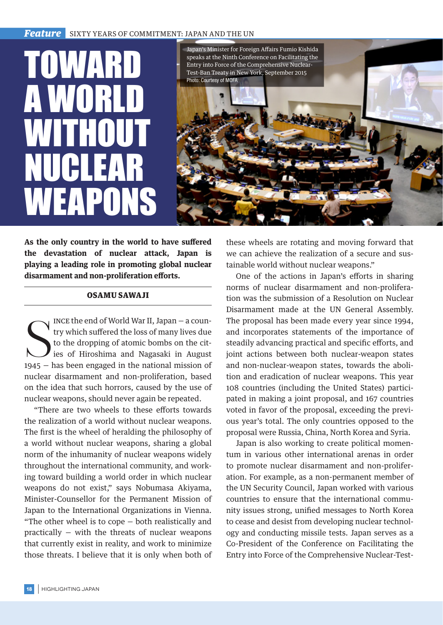## **Feature** SIXTY YEARS OF COMMITMENT: JAPAN AND THE UN

Speaks at the Ninth Conference on Facilitating<br>Entry into Force of the Comprehensive Nuclear<br>Test-Ban Treaty in New York, September 2015<br>Photo: Courtesy of MOFA A WORL WITHOUT NUCLEAR WEAPONS



**As the only country in the world to have suffered the devastation of nuclear attack, Japan is playing a leading role in promoting global nuclear disarmament and non-proliferation efforts.**

## OSAMU SAWAJI

INCE the end of World War II, Japan – a country which suffered the loss of many lives due<br>to the dropping of atomic bombs on the cit-<br>ies of Hiroshima and Nagasaki in August<br>1945 – has been engaged in the national mission ince the end of World War II, Japan — a country which suffered the loss of many lives due to the dropping of atomic bombs on the cities of Hiroshima and Nagasaki in August nuclear disarmament and non-proliferation, based on the idea that such horrors, caused by the use of nuclear weapons, should never again be repeated.

"There are two wheels to these efforts towards the realization of a world without nuclear weapons. The first is the wheel of heralding the philosophy of a world without nuclear weapons, sharing a global norm of the inhumanity of nuclear weapons widely throughout the international community, and working toward building a world order in which nuclear weapons do not exist," says Nobumasa Akiyama, Minister-Counsellor for the Permanent Mission of Japan to the International Organizations in Vienna. "The other wheel is to cope — both realistically and practically — with the threats of nuclear weapons that currently exist in reality, and work to minimize those threats. I believe that it is only when both of these wheels are rotating and moving forward that we can achieve the realization of a secure and sustainable world without nuclear weapons."

One of the actions in Japan's efforts in sharing norms of nuclear disarmament and non-proliferation was the submission of a Resolution on Nuclear Disarmament made at the UN General Assembly. The proposal has been made every year since 1994, and incorporates statements of the importance of steadily advancing practical and specific efforts, and joint actions between both nuclear-weapon states and non-nuclear-weapon states, towards the abolition and eradication of nuclear weapons. This year 108 countries (including the United States) participated in making a joint proposal, and 167 countries voted in favor of the proposal, exceeding the previous year's total. The only countries opposed to the proposal were Russia, China, North Korea and Syria.

Japan is also working to create political momentum in various other international arenas in order to promote nuclear disarmament and non-proliferation. For example, as a non-permanent member of the UN Security Council, Japan worked with various countries to ensure that the international community issues strong, unified messages to North Korea to cease and desist from developing nuclear technology and conducting missile tests. Japan serves as a Co-President of the Conference on Facilitating the Entry into Force of the Comprehensive Nuclear-Test-